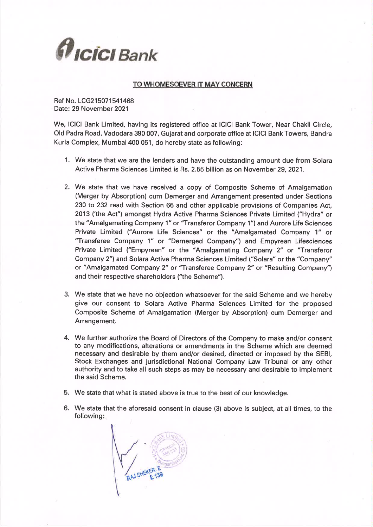

#### TO WHOMESOEVER IT MAY CONCERN

Ref No. LCG215071541468 Date: 29 November 2021

We, ICICI Bank Limited, having its registered office at ICICI Bank Tower, Near Chakli Circle. Old Padra Road, Vadodara 390 007, Gujarat and corporate office at ICICI Bank Towers, Bandra Kurla Complex, Mumbai 400 051, do hereby state as following:

- 1. We state that we are the lenders and have the outstanding amount due from Solara Active Pharma Sciences Limited is Rs. 2.55 billion as on November 29, 2021.
- 2. We state that we have received a copy of Composite Scheme of Amalgamation (Merger by Absorption) cum Demerger and Arrangement presented under Sections 230 to 232 read with Section 66 and other applicable provisions of Companies Act. 2013 ('the Act") amongst Hydra Active Pharma Sciences Private Limited ("Hydra" or the "Amalgamating Company 1" or "Transferor Company 1") and Aurore Life Sciences Private Limited ("Aurore Life Sciences" or the "Amalgamated Company 1" or "Transferee Company 1" or "Demerged Company") and Empyrean Lifesciences Private Limited ("Empyrean" or the "Amalgamating Company 2" or "Transferor Company 2") and Solara Active Pharma Sciences Limited ("Solara" or the "Company" or "Amalgamated Company 2" or "Transferee Company 2" or "Resulting Company") and their respective shareholders ("the Scheme").
- 3. We state that we have no objection whatsoever for the said Scheme and we hereby give our consent to Solara Active Pharma Sciences Limited for the proposed Composite Scheme of Amalgamation (Merger by Absorption) cum Demerger and Arrangement.
- 4. We further authorize the Board of Directors of the Company to make and/or consent to any modifications, alterations or amendments in the Scheme which are deemed necessary and desirable by them and/or desired, directed or imposed by the SEBI, Stock Exchanges and jurisdictional National Company Law Tribunal or any other authority and to take all such steps as may be necessary and desirable to implement the said Scheme.
- 5. We state that what is stated above is true to the best of our knowledge.
- 6. We state that the aforesaid consent in clause (3) above is subject, at all times, to the following:

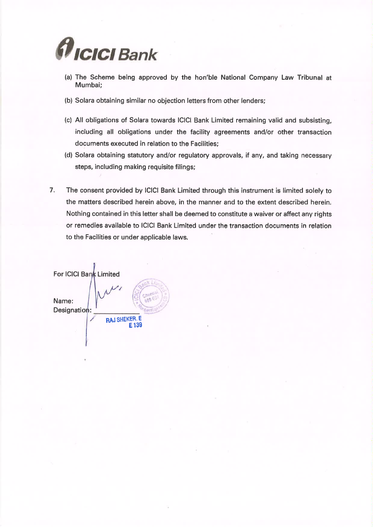

- (a) The Scheme being approved by the hon'ble National Company Law Tribunal at Mumbai;
- (b) Solara obtaining similar no objection letters from other lenders;
- (c) All obligations of Solara towards ICICI Bank Limited remaining valid and subsisting, including all obligations under the facility agreements and/or other transaction documents executed in relation to the Facilities:
- (d) Solara obtaining statutory and/or regulatory approvals, if any, and taking necessary steps, including making requisite filings;
- $7.$ The consent provided by ICICI Bank Limited through this instrument is limited solely to the matters described herein above, in the manner and to the extent described herein. Nothing contained in this letter shall be deemed to constitute a waiver or affect any rights or remedies available to ICICI Bank Limited under the transaction documents in relation to the Facilities or under applicable laws.

For ICICI Bank Limited Name: Designation: **RAJ SHEKER.** E E<sub>139</sub>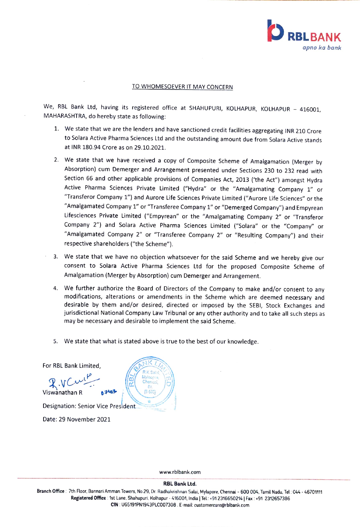

#### TO WHOMESOEVER IT MAY CONCERN

We, RBL Bank Ltd, having its registered office at SHAHUPURI, KOLHAPUR, KOLHAPUR - 416001, MAHARASHTRA, do hereby state as following:

- 1. We state that we are the lenders and have sanctioned credit facilities aggregating INR 210 Crore to Solara Active Pharma Sciences Ltd and the outstanding amount due from Solara Active stands at INR 180.94 Crore as on 29.10.2021.
- 2. We state that we have received a copy of Composite Scheme of Amalgamation (Merger by Absorption) cum Demerger and Arrangement presented under Sections 230 to 232 read with Section 66 and other applicable provisions of Companies Act, 2013 ('the Act") amongst Hydra Active Pharma Sciences Private Limited ("Hydra" or the "Amalgamating Company 1" or "Transferor Company 1") and Aurore Life Sciences Private Limited ("Aurore Life Sciences" or the "Amalgamated Company 1" or "Transferee Company 1" or "Demerged Company"') and Empyrean Lifesciences Private Limited ("Empyrean" or the "Amalgamating Company 2" or "Transferor Company 2") and Solara Active Pharma Sciences Limited ("Solara" or the "Company" or "Amalgamated Company 2" or "Transferee Company 2" or "Resulting Company") and their respective shareholders ("the Scheme").
- 3. We state that we have no objection whatsoever for the said Scheme and we hereby give our consent to Solara Active Pharma Sciences Ltd for the proposed Composite Scheme of Amalgamation (Merger by Absorption) cum Demerger and Arrangement.
- 4. We further authorize the Board of Directors of the Company to make and/or consent to any modifications, alterations or amendments in the Scheme which are deemed necessary and desirable by them and/or desired, directed or imposed by the SEBI, Stock Exchanges and jurisdictional National Company Law Tribunal or any other authority and to take all such steps as may be necessary and desirable to implement the said Scheme.
- 5. We state that what is stated above is true to the best of our knowledge.

For RBL Bank Limited,

 $\mathcal{R}.V$ Cert $\mathcal{L}$   $\mathbb{R}$   $\mathbb{R}$   $\mathbb{R}$   $\mathbb{R}$   $\mathbb{R}$ Viswanathan R

Designation: Senior Vice President

Date: 29 November 2021



www.rblbank.com

RBL Bank Ltd.

Branch Office: 7th Floor. Bannari Amman Towers, No.29, Dr. Radhakrishnan Salai, Mylapore, Chennai- 600 004, Tamil Nadu, Tel: 044-4670111 Registered Office: 1st Lane, Shahupuri, Kolhapur - 416001, India | Tel.: +91 2316650214 | Fax: +91 2312657386 CIN: U65191PN1943PLCo07308. E-mail: customercare@rblbank.com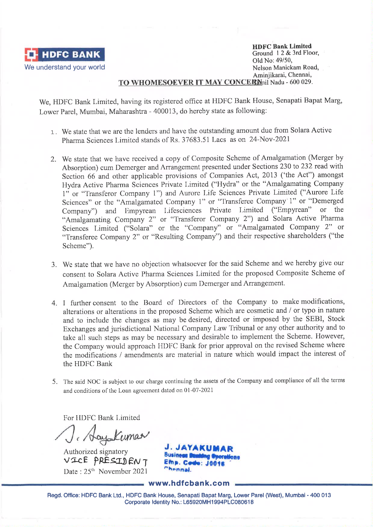

**HDFC Bank Limited** Ground 12 & 3rd Floor. Old No: 49/50. Nelson Manickam Road, Aminiikarai, Chennai,

## TO WHOMESOEVER IT MAY CONCERN il Nadu - 600 029.

We, HDFC Bank Limited, having its registered office at HDFC Bank House, Senapati Bapat Marg, Lower Parel, Mumbai, Maharashtra - 400013, do hereby state as following:

- 1. We state that we are the lenders and have the outstanding amount due from Solara Active Pharma Sciences Limited stands of Rs. 37683.51 Lacs as on 24-Nov-2021
- 2. We state that we have received a copy of Composite Scheme of Amalgamation (Merger by Absorption) cum Demerger and Arrangement presented under Sections 230 to 232 read with Section 66 and other applicable provisions of Companies Act, 2013 ('the Act") amongst Hydra Active Pharma Sciences Private Limited ("Hydra" or the "Amalgamating Company 1" or "Transferor Company 1") and Aurore Life Sciences Private Limited ("Aurore Life Sciences" or the "Amalgamated Company 1" or "Transferee Company 1" or "Demerged Company") and Empyrean Lifesciences Private Limited ("Empyrean" or the "Amalgamating Company 2" or "Transferor Company 2") and Solara Active Pharma Sciences Limited ("Solara" or the "Company" or "Amalgamated Company 2" or "Transferee Company 2" or "Resulting Company") and their respective shareholders ("the Scheme").
- 3. We state that we have no objection whatsoever for the said Scheme and we hereby give our consent to Solara Active Pharma Sciences Limited for the proposed Composite Scheme of Amalgamation (Merger by Absorption) cum Demerger and Arrangement.
- 4. I further consent to the Board of Directors of the Company to make modifications, alterations or alterations in the proposed Scheme which are cosmetic and / or typo in nature and to include the changes as may be desired, directed or imposed by the SEBI, Stock Exchanges and jurisdictional National Company Law Tribunal or any other authority and to take all such steps as may be necessary and desirable to implement the Scheme. However, the Company would approach HDFC Bank for prior approval on the revised Scheme where the modifications / amendments are material in nature which would impact the interest of the HDFC Bank
- 5. The said NOC is subject to our charge continuing the assets of the Company and compliance of all the terms and conditions of the Loan agreement dated on 01-07-2021

For HDFC Bank Limited

J. AayaKumaa

Authorized signatory VICE PRESIDENT Date: 25<sup>th</sup> November 2021

**J. JAYAKU Business** Emp. Code: Chennal.

www.hdfcbank.com

Regd. Office: HDFC Bank Ltd., HDFC Bank House, Senapati Bapat Marg, Lower Parel (West), Mumbai - 400 013 Corporate Identity No.: L65920MH1994PLC080618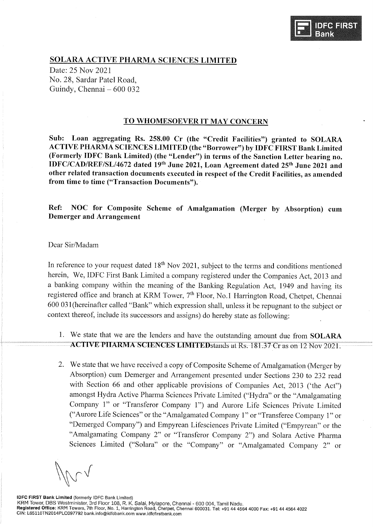

## **SOLARA ACTIVE PHARMA SCIENCES LIMITED**

Date: 25 Nov 2021 No. 28, Sardar Patel Road. Guindy, Chennai – 600 032

### TO WHOMESOEVER IT MAY CONCERN

Sub: Loan aggregating Rs. 258.00 Cr (the "Credit Facilities") granted to SOLARA ACTIVE PHARMA SCIENCES LIMITED (the "Borrower") by IDFC FIRST Bank Limited (Formerly IDFC Bank Limited) (the "Lender") in terms of the Sanction Letter bearing no. IDFC/CAD/REF/SL/4672 dated 19th June 2021, Loan Agreement dated 25th June 2021 and other related transaction documents executed in respect of the Credit Facilities, as amended from time to time ("Transaction Documents").

NOC for Composite Scheme of Amalgamation (Merger by Absorption) cum Ref: **Demerger and Arrangement** 

#### Dear Sir/Madam

In reference to your request dated  $18<sup>th</sup>$  Nov 2021, subject to the terms and conditions mentioned herein, We, IDFC First Bank Limited a company registered under the Companies Act, 2013 and a banking company within the meaning of the Banking Regulation Act, 1949 and having its registered office and branch at KRM Tower, 7<sup>th</sup> Floor, No.1 Harrington Road, Chetpet, Chennai 600 031 (hereinafter called "Bank" which expression shall, unless it be repugnant to the subject or context thereof, include its successors and assigns) do hereby state as following:

- 1. We state that we are the lenders and have the outstanding amount due from SOLARA ACTIVE PHARMA SCIENCES LIMITED stands at Rs. 181.37 Cr as on 12 Nov 2021.
- 2. We state that we have received a copy of Composite Scheme of Amalgamation (Merger by Absorption) cum Demerger and Arrangement presented under Sections 230 to 232 read with Section 66 and other applicable provisions of Companies Act, 2013 ('the Act") amongst Hydra Active Pharma Sciences Private Limited ("Hydra" or the "Amalgamating Company 1" or "Transferor Company 1") and Aurore Life Sciences Private Limited ("Aurore Life Sciences" or the "Amalgamated Company 1" or "Transferee Company 1" or "Demerged Company") and Empyrean Lifesciences Private Limited ("Empyrean" or the "Amalgamating Company 2" or "Transferor Company 2") and Solara Active Pharma Sciences Limited ("Solara" or the "Company" or "Amalgamated Company 2" or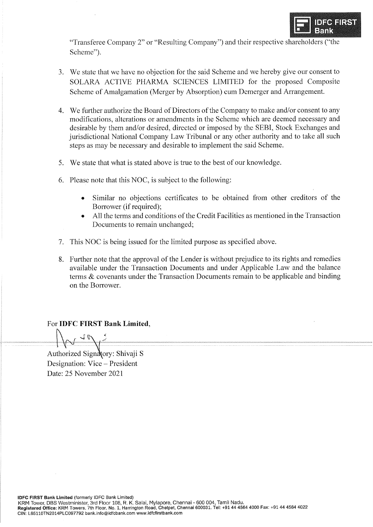

"Transferee Company 2" or "Resulting Company") and their respective shareholders ("the Scheme").

- 3. We state that we have no objection for the said Scheme and we hereby give our consent to SOLARA ACTIVE PHARMA SCIENCES LIMITED for the proposed Composite Scheme of Amalgamation (Merger by Absorption) cum Demerger and Arrangement.
- 4. We further authorize the Board of Directors of the Company to make and/or consent to any modifications, alterations or amendments in the Scheme which are deemed necessary and desirable by them and/or desired, directed or imposed by the SEBI, Stock Exchanges and jurisdictional National Company Law Tribunal or any other authority and to take all such steps as may be necessary and desirable to implement the said Scheme.
- 5. We state that what is stated above is true to the best of our knowledge.
- 6. Please note that this NOC, is subject to the following:
	- Similar no objections certificates to be obtained from other creditors of the Borrower (if required);
	- All the terms and conditions of the Credit Facilities as mentioned in the Transaction Documents to remain unchanged;
- 7. This NOC is being issued for the limited purpose as specified above.
- 8. Further note that the approval of the Lender is without prejudice to its rights and remedies available under the Transaction Documents and under Applicable Law and the balance terms  $\&$  covenants under the Transaction Documents remain to be applicable and binding on the Borrower.

## For IDFC FIRST Bank Limited,

Authorized Signatory: Shivaji S Designation: Vice - President Date: 25 November 2021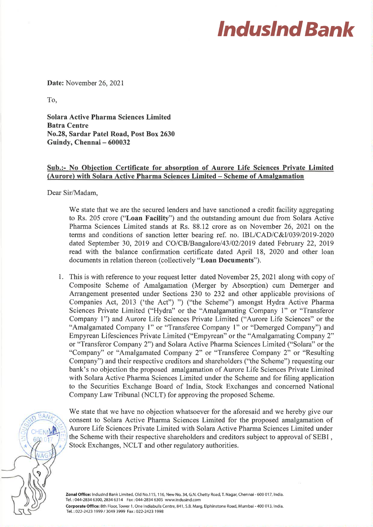# **Indusind Bank**

Date: November 26, 2021

To.

**Solara Active Pharma Sciences Limited Batra Centre** No.28, Sardar Patel Road, Post Box 2630 Guindy, Chennai - 600032

## Sub.:- No Objection Certificate for absorption of Aurore Life Sciences Private Limited (Aurore) with Solara Active Pharma Sciences Limited – Scheme of Amalgamation

Dear Sir/Madam,

We state that we are the secured lenders and have sanctioned a credit facility aggregating to Rs. 205 crore ("Loan Facility") and the outstanding amount due from Solara Active Pharma Sciences Limited stands at Rs. 88.12 crore as on November 26, 2021 on the terms and conditions of sanction letter bearing ref. no. IBL/CAD/C&I/039/2019-2020 dated September 30, 2019 and CO/CB/Bangalore/43/02/2019 dated February 22, 2019 read with the balance confirmation certificate dated April 18, 2020 and other loan documents in relation thereon (collectively "Loan Documents").

1. This is with reference to your request letter dated November 25, 2021 along with copy of Composite Scheme of Amalgamation (Merger by Absorption) cum Demerger and Arrangement presented under Sections 230 to 232 and other applicable provisions of Companies Act, 2013 ('the Act") ") ("the Scheme") amongst Hydra Active Pharma Sciences Private Limited ("Hydra" or the "Amalgamating Company 1" or "Transferor Company 1") and Aurore Life Sciences Private Limited ("Aurore Life Sciences" or the "Amalgamated Company 1" or "Transferee Company 1" or "Demerged Company") and Empyrean Lifesciences Private Limited ("Empyrean" or the "Amalgamating Company 2" or "Transferor Company 2") and Solara Active Pharma Sciences Limited ("Solara" or the "Company" or "Amalgamated Company 2" or "Transferee Company 2" or "Resulting Company") and their respective creditors and shareholders ("the Scheme") requesting our bank's no objection the proposed amalgamation of Aurore Life Sciences Private Limited with Solara Active Pharma Sciences Limited under the Scheme and for filing application to the Securities Exchange Board of India, Stock Exchanges and concerned National Company Law Tribunal (NCLT) for approving the proposed Scheme.



We state that we have no objection whatsoever for the aforesaid and we hereby give our consent to Solara Active Pharma Sciences Limited for the proposed amalgamation of Aurore Life Sciences Private Limited with Solara Active Pharma Sciences Limited under the Scheme with their respective shareholders and creditors subject to approval of SEBI, Stock Exchanges, NCLT and other regulatory authorities.

Zonal Office: IndusInd Bank Limited, Old No.115, 116, New No. 34, G.N. Chetty Road, T. Nagar, Chennai - 600 017, India. Tel.: 044-2834 6300, 2834 6314 Fax: 044-2834 6305 www.indusind.com Corporate Office: 8th Floor, Tower 1, One Indiabulls Centre, 841, S.B. Marg, Elphinstone Road, Mumbai - 400 013, India. Tel.: 022-2423 1999 / 3049 3999 Fax: 022-2423 1998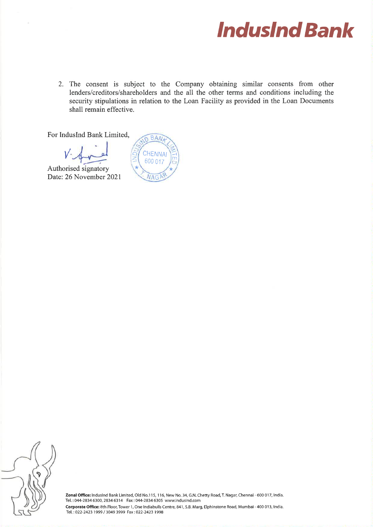

2. The consent is subject to the Company obtaining similar consents from other lenders/creditors/shareholders and the all the other terms and conditions including the security stipulations in relation to the Loan Facility as provided in the Loan Documents shall remain effective.

**BAN** 

**CHENNAI** 600 017

**NAG** 

For IndusInd Bank Limited.

Authorised signatory Date: 26 November 2021

Zonal Office: IndusInd Bank Limited, Old No.115, 116, New No. 34, G.N. Chetty Road, T. Nagar, Chennai - 600 017, India. Tel.: 044-2834 6300, 2834 6314 Fax: 044-2834 6305 www.indusind.com Corporate Office: 8th Floor, Tower 1, One Indiabulls Centre, 841, S.B. Marg, Elphinstone Road, Mumbai - 400 013, India. Tel.: 022-2423 1999 / 3049 3999 Fax: 022-2423 1998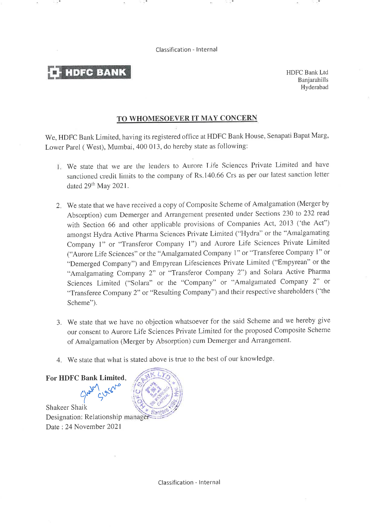Classification - Internal

**HDFC BANK** 

**HDFC Bank Ltd** Baniarahills Hyderabad

## TO WHOMESOEVER IT MAY CONCERN

We, HDFC Bank Limited, having its registered office at HDFC Bank House, Senapati Bapat Marg, Lower Parel (West), Mumbai, 400 013, do hereby state as following:

- 1. We state that we are the lenders to Aurore Life Sciences Private Limited and have sanctioned credit limits to the company of Rs.140.66 Crs as per our latest sanction letter dated 29<sup>th</sup> May 2021.
- 2. We state that we have received a copy of Composite Scheme of Amalgamation (Merger by Absorption) cum Demerger and Arrangement presented under Sections 230 to 232 read with Section 66 and other applicable provisions of Companies Act, 2013 ('the Act") amongst Hydra Active Pharma Sciences Private Limited ("Hydra" or the "Amalgamating Company 1" or "Transferor Company 1") and Aurore Life Sciences Private Limited ("Aurore Life Sciences" or the "Amalgamated Company 1" or "Transferee Company 1" or "Demerged Company") and Empyrean Lifesciences Private Limited ("Empyrean" or the "Amalgamating Company 2" or "Transferor Company 2") and Solara Active Pharma Sciences Limited ("Solara" or the "Company" or "Amalgamated Company 2" or "Transferee Company 2" or "Resulting Company") and their respective shareholders ("the Scheme").
- 3. We state that we have no objection whatsoever for the said Scheme and we hereby give our consent to Aurore Life Sciences Private Limited for the proposed Composite Scheme of Amalgamation (Merger by Absorption) cum Demerger and Arrangement.
- 4. We state that what is stated above is true to the best of our knowledge.

Shakeer Shaik Designation: Relationship manager Date: 24 November 2021

For HDFC Bank Limited,

Classification - Internal